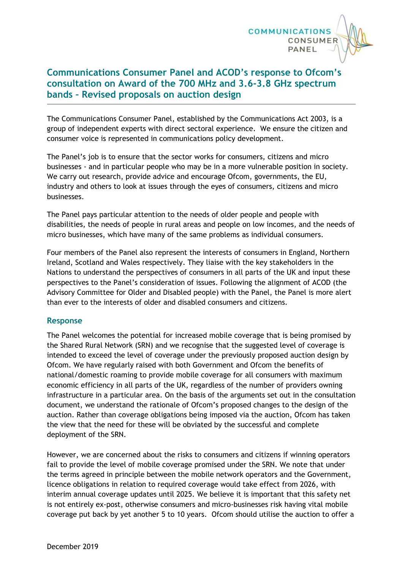

## **Communications Consumer Panel and ACOD's response to Ofcom's consultation on Award of the 700 MHz and 3.6-3.8 GHz spectrum bands – Revised proposals on auction design**

The Communications Consumer Panel, established by the Communications Act 2003, is a group of independent experts with direct sectoral experience. We ensure the citizen and consumer voice is represented in communications policy development.

The Panel's job is to ensure that the sector works for consumers, citizens and micro businesses - and in particular people who may be in a more vulnerable position in society. We carry out research, provide advice and encourage Ofcom, governments, the EU, industry and others to look at issues through the eyes of consumers, citizens and micro businesses.

The Panel pays particular attention to the needs of older people and people with disabilities, the needs of people in rural areas and people on low incomes, and the needs of micro businesses, which have many of the same problems as individual consumers.

Four members of the Panel also represent the interests of consumers in England, Northern Ireland, Scotland and Wales respectively. They liaise with the key stakeholders in the Nations to understand the perspectives of consumers in all parts of the UK and input these perspectives to the Panel's consideration of issues. Following the alignment of ACOD (the Advisory Committee for Older and Disabled people) with the Panel, the Panel is more alert than ever to the interests of older and disabled consumers and citizens.

## **Response**

The Panel welcomes the potential for increased mobile coverage that is being promised by the Shared Rural Network (SRN) and we recognise that the suggested level of coverage is intended to exceed the level of coverage under the previously proposed auction design by Ofcom. We have regularly raised with both Government and Ofcom the benefits of national/domestic roaming to provide mobile coverage for all consumers with maximum economic efficiency in all parts of the UK, regardless of the number of providers owning infrastructure in a particular area. On the basis of the arguments set out in the consultation document, we understand the rationale of Ofcom's proposed changes to the design of the auction. Rather than coverage obligations being imposed via the auction, Ofcom has taken the view that the need for these will be obviated by the successful and complete deployment of the SRN.

However, we are concerned about the risks to consumers and citizens if winning operators fail to provide the level of mobile coverage promised under the SRN. We note that under the terms agreed in principle between the mobile network operators and the Government, licence obligations in relation to required coverage would take effect from 2026, with interim annual coverage updates until 2025. We believe it is important that this safety net is not entirely ex-post, otherwise consumers and micro-businesses risk having vital mobile coverage put back by yet another 5 to 10 years. Ofcom should utilise the auction to offer a